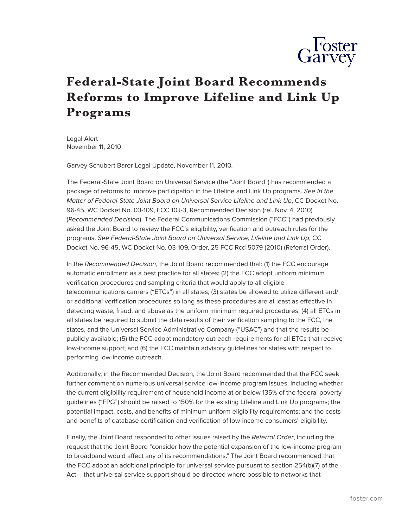

## **Federal-State Joint Board Recommends Reforms to Improve Lifeline and Link Up Programs**

Legal Alert November 11, 2010

Garvey Schubert Barer Legal Update, November 11, 2010.

The Federal-State Joint Board on Universal Service (the "Joint Board") has recommended a package of reforms to improve participation in the Lifeline and Link Up programs. *See In the Matter of Federal-State Joint Board on Universal Service Lifeline and Link Up*, CC Docket No. 96-45, WC Docket No. 03-109, FCC 10J-3, Recommended Decision (rel. Nov. 4, 2010) (*Recommended Decision*). The Federal Communications Commission ("FCC") had previously asked the Joint Board to review the FCC's eligibility, verification and outreach rules for the programs. *See Federal-State Joint Board on Universal Service; Lifeline and Link Up*, CC Docket No. 96-45, WC Docket No. 03-109, Order, 25 FCC Rcd 5079 (2010) (Referral Order).

In the *Recommended Decision*, the Joint Board recommended that: (1) the FCC encourage automatic enrollment as a best practice for all states; (2) the FCC adopt uniform minimum verification procedures and sampling criteria that would apply to all eligible telecommunications carriers ("ETCs") in all states; (3) states be allowed to utilize different and/ or additional verification procedures so long as these procedures are at least as effective in detecting waste, fraud, and abuse as the uniform minimum required procedures; (4) all ETCs in all states be required to submit the data results of their verification sampling to the FCC, the states, and the Universal Service Administrative Company ("USAC") and that the results be publicly available; (5) the FCC adopt mandatory outreach requirements for all ETCs that receive low-income support; and (6) the FCC maintain advisory guidelines for states with respect to performing low-income outreach.

Additionally, in the Recommended Decision, the Joint Board recommended that the FCC seek further comment on numerous universal service low-income program issues, including whether the current eligibility requirement of household income at or below 135% of the federal poverty guidelines ("FPG") should be raised to 150% for the existing Lifeline and Link Up programs; the potential impact, costs, and benefits of minimum uniform eligibility requirements; and the costs and benefits of database certification and verification of low-income consumers' eligibility.

Finally, the Joint Board responded to other issues raised by the *Referral Order*, including the request that the Joint Board "consider how the potential expansion of the low-income program to broadband would affect any of its recommendations." The Joint Board recommended that the FCC adopt an additional principle for universal service pursuant to section 254(b)(7) of the Act – that universal service support should be directed where possible to networks that